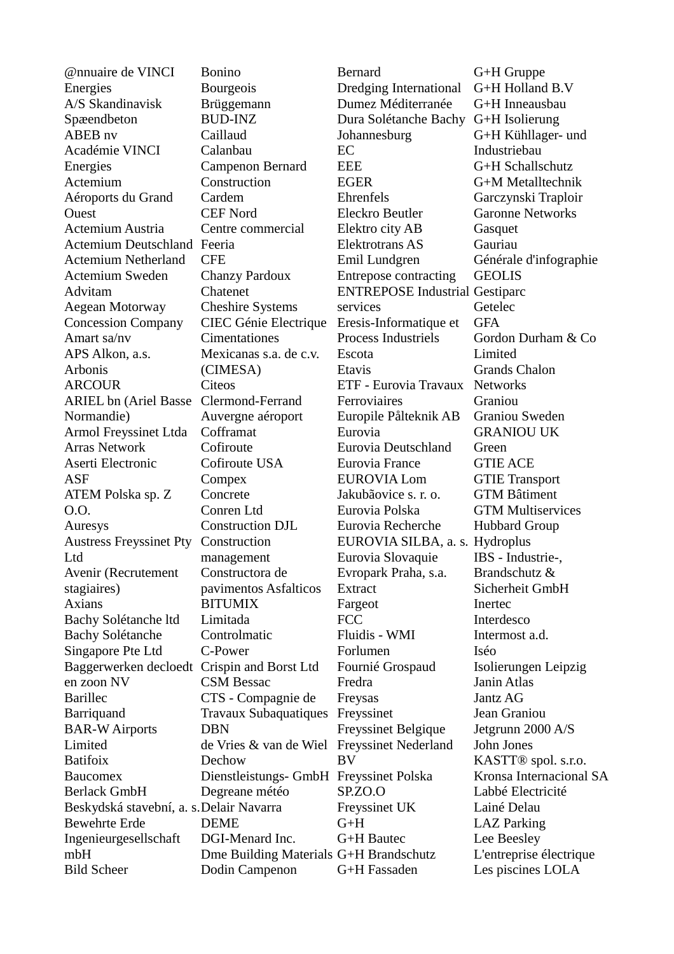@nnuaire de VINCI Energies A/S Skandinavisk Spæendbeton ABEB nv Académie VINCI Energies Actemium Aéroports du Grand **Ouest** Actemium Austria Actemium Deutschland Feeria Actemium Netherland Actemium Sweden Advitam Aegean Motorway Concession Company Amart sa/nv APS Alkon, a.s. Arbonis **ARCOUR** ARIEL bn (Ariel Basse Clermond-Ferrand Normandie) Armol Freyssinet Ltda Arras Network Aserti Electronic ASF ATEM Polska sp. Z O.O. Auresys Austress Freyssinet Pty Construction Ltd Avenir (Recrutement stagiaires) Axians Bachy Solétanche ltd Bachy Solétanche Singapore Pte Ltd Baggerwerken decloedt Crispin and Borst Ltd en zoon NV Barillec Barriquand BAR-W Airports Limited Batifoix Baucomex Berlack GmbH Beskydská stavební, a. s. Delair Navarra Bewehrte Erde Ingenieurgesellschaft mbH Bild Scheer **CFE** DBN Dodin Campenon

Bonino Bourgeois Brüggemann BUD-INZ Caillaud Calanbau Campenon Bernard **Construction** Cardem CEF Nord Centre commercial Chanzy Pardoux Chatenet Cheshire Systems CIEC Génie Electrique **Cimentationes** Mexicanas s.a. de c.v. (CIMESA) **Citeos** Auvergne aéroport Cofframat Cofiroute Cofiroute USA Compex Concrete Conren Ltd Construction DJL management Constructora de pavimentos Asfalticos BITUMIX Limitada Controlmatic C-Power CSM Bessac CTS - Compagnie de Travaux Subaquatiques Freyssinet de Vries & van de Wiel Freyssinet Nederland Dechow Dienstleistungs- GmbH Freyssinet Polska Degreane météo DEME DGI-Menard Inc. Dme Building Materials G+H Brandschutz

Bernard Dredging International Dumez Méditerranée Dura Solétanche Bachy G+H Isolierung Johannesburg EC EEE EGER Ehrenfels Eleckro Beutler Elektro city AB Elektrotrans AS Emil Lundgren Entrepose contracting ENTREPOSE Industrial Gestiparc services Eresis-Informatique et Process Industriels Escota Etavis ETF - Eurovia Travaux Networks Ferroviaires Europile Pålteknik AB Eurovia Eurovia Deutschland Eurovia France EUROVIA Lom Jakubãovice s. r. o. Eurovia Polska Eurovia Recherche EUROVIA SILBA, a. s. Hydroplus Eurovia Slovaquie Evropark Praha, s.a. **Extract** Fargeot FCC Fluidis - WMI Forlumen Fournié Grospaud Fredra Freysas Freyssinet Belgique BV SP.ZO.O Freyssinet UK G+H G+H Bautec G+H Fassaden G+H Gruppe Industriebau **Gasquet** Gauriau GEOLIS Getelec **GFA** Limited Graniou Green GTIE ACE Inertec Interdesco Intermost a.d. Iséo Janin Atlas Jantz AG Jean Graniou John Jones Lainé Delau LAZ Parking Lee Beesley

G+H Holland B.V G+H Inneausbau G+H Kühllager- und G+H Schallschutz G+M Metalltechnik Garczynski Traploir Garonne Networks Générale d'infographie Gordon Durham & Co Grands Chalon Graniou Sweden GRANIOU UK GTIE Transport GTM Bâtiment GTM Multiservices Hubbard Group IBS - Industrie-, Brandschutz & Sicherheit GmbH Isolierungen Leipzig Jetgrunn 2000 A/S KASTT® spol. s.r.o. Kronsa Internacional SA Labbé Electricité L'entreprise électrique Les piscines LOLA